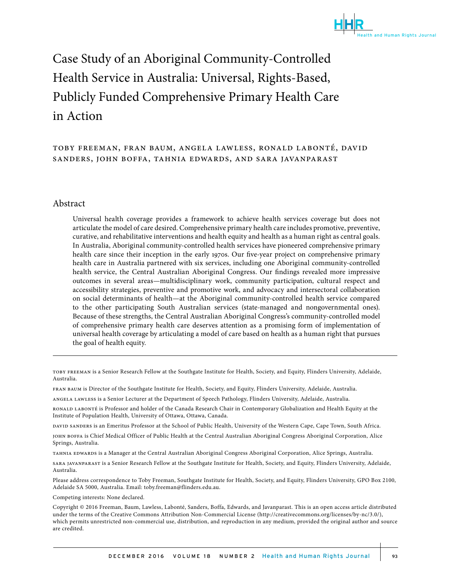

# Case Study of an Aboriginal Community-Controlled Health Service in Australia: Universal, Rights-Based, Publicly Funded Comprehensive Primary Health Care in Action

# toby freeman, fran baum, angela lawless, ronald labonté, david sanders, john boffa, tahnia edwards, and sara javanparast

#### Abstract

Universal health coverage provides a framework to achieve health services coverage but does not articulate the model of care desired. Comprehensive primary health care includes promotive, preventive, curative, and rehabilitative interventions and health equity and health as a human right as central goals. In Australia, Aboriginal community-controlled health services have pioneered comprehensive primary health care since their inception in the early 1970s. Our five-year project on comprehensive primary health care in Australia partnered with six services, including one Aboriginal community-controlled health service, the Central Australian Aboriginal Congress. Our findings revealed more impressive outcomes in several areas—multidisciplinary work, community participation, cultural respect and accessibility strategies, preventive and promotive work, and advocacy and intersectoral collaboration on social determinants of health—at the Aboriginal community-controlled health service compared to the other participating South Australian services (state-managed and nongovernmental ones). Because of these strengths, the Central Australian Aboriginal Congress's community-controlled model of comprehensive primary health care deserves attention as a promising form of implementation of universal health coverage by articulating a model of care based on health as a human right that pursues the goal of health equity.

toby freeman is a Senior Research Fellow at the Southgate Institute for Health, Society, and Equity, Flinders University, Adelaide, Australia.

fran baum is Director of the Southgate Institute for Health, Society, and Equity, Flinders University, Adelaide, Australia.

angela lawless is a Senior Lecturer at the Department of Speech Pathology, Flinders University, Adelaide, Australia.

ronald labonté is Professor and holder of the Canada Research Chair in Contemporary Globalization and Health Equity at the Institute of Population Health, University of Ottawa, Ottawa, Canada.

david sanders is an Emeritus Professor at the School of Public Health, University of the Western Cape, Cape Town, South Africa.

john boffa is Chief Medical Officer of Public Health at the Central Australian Aboriginal Congress Aboriginal Corporation, Alice Springs, Australia.

tahnia edwards is a Manager at the Central Australian Aboriginal Congress Aboriginal Corporation, Alice Springs, Australia.

sara javanparast is a Senior Research Fellow at the Southgate Institute for Health, Society, and Equity, Flinders University, Adelaide, Australia.

Please address correspondence to Toby Freeman, Southgate Institute for Health, Society, and Equity, Flinders University, GPO Box 2100, Adelaide SA 5000, Australia. Email: toby.freeman@flinders.edu.au.

Competing interests: None declared.

Copyright © 2016 Freeman, Baum, Lawless, Labonté, Sanders, Boffa, Edwards, and Javanparast. This is an open access article distributed under the terms of the Creative Commons Attribution Non-Commercial License (http://creativecommons.org/licenses/by-nc/3.0/), which permits unrestricted non-commercial use, distribution, and reproduction in any medium, provided the original author and source are credited.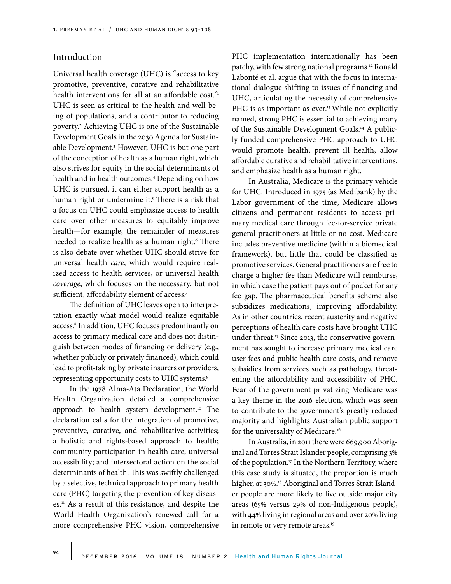# Introduction

Universal health coverage (UHC) is "access to key promotive, preventive, curative and rehabilitative health interventions for all at an affordable cost."<sup>1</sup> UHC is seen as critical to the health and well-being of populations, and a contributor to reducing poverty.2 Achieving UHC is one of the Sustainable Development Goals in the 2030 Agenda for Sustainable Development.3 However, UHC is but one part of the conception of health as a human right, which also strives for equity in the social determinants of health and in health outcomes.4 Depending on how UHC is pursued, it can either support health as a human right or undermine it.<sup>5</sup> There is a risk that a focus on UHC could emphasize access to health care over other measures to equitably improve health—for example, the remainder of measures needed to realize health as a human right.<sup>6</sup> There is also debate over whether UHC should strive for universal health *care*, which would require realized access to health services, or universal health *coverage*, which focuses on the necessary, but not sufficient, affordability element of access.<sup>7</sup>

The definition of UHC leaves open to interpretation exactly what model would realize equitable access.8 In addition, UHC focuses predominantly on access to primary medical care and does not distinguish between modes of financing or delivery (e.g., whether publicly or privately financed), which could lead to profit-taking by private insurers or providers, representing opportunity costs to UHC systems.9

In the 1978 Alma-Ata Declaration, the World Health Organization detailed a comprehensive approach to health system development.<sup>10</sup> The declaration calls for the integration of promotive, preventive, curative, and rehabilitative activities; a holistic and rights-based approach to health; community participation in health care; universal accessibility; and intersectoral action on the social determinants of health. This was swiftly challenged by a selective, technical approach to primary health care (PHC) targeting the prevention of key diseases.11 As a result of this resistance, and despite the World Health Organization's renewed call for a more comprehensive PHC vision, comprehensive PHC implementation internationally has been patchy, with few strong national programs.<sup>12</sup> Ronald Labonté et al. argue that with the focus in international dialogue shifting to issues of financing and UHC, articulating the necessity of comprehensive PHC is as important as ever.<sup>13</sup> While not explicitly named, strong PHC is essential to achieving many of the Sustainable Development Goals.14 A publicly funded comprehensive PHC approach to UHC would promote health, prevent ill health, allow affordable curative and rehabilitative interventions, and emphasize health as a human right.

In Australia, Medicare is the primary vehicle for UHC. Introduced in 1975 (as Medibank) by the Labor government of the time, Medicare allows citizens and permanent residents to access primary medical care through fee-for-service private general practitioners at little or no cost. Medicare includes preventive medicine (within a biomedical framework), but little that could be classified as promotive services. General practitioners are free to charge a higher fee than Medicare will reimburse, in which case the patient pays out of pocket for any fee gap. The pharmaceutical benefits scheme also subsidizes medications, improving affordability. As in other countries, recent austerity and negative perceptions of health care costs have brought UHC under threat.<sup>15</sup> Since 2013, the conservative government has sought to increase primary medical care user fees and public health care costs, and remove subsidies from services such as pathology, threatening the affordability and accessibility of PHC. Fear of the government privatizing Medicare was a key theme in the 2016 election, which was seen to contribute to the government's greatly reduced majority and highlights Australian public support for the universality of Medicare.<sup>16</sup>

In Australia, in 2011 there were 669,900 Aboriginal and Torres Strait Islander people, comprising 3% of the population.<sup>17</sup> In the Northern Territory, where this case study is situated, the proportion is much higher, at 30%.<sup>18</sup> Aboriginal and Torres Strait Islander people are more likely to live outside major city areas (65% versus 29% of non-Indigenous people), with 44% living in regional areas and over 20% living in remote or very remote areas.<sup>19</sup>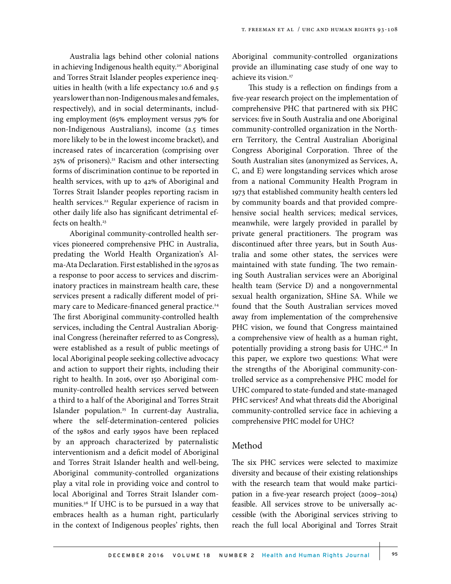Australia lags behind other colonial nations in achieving Indigenous health equity.<sup>20</sup> Aboriginal and Torres Strait Islander peoples experience inequities in health (with a life expectancy 10.6 and 9.5 years lower than non-Indigenous males and females, respectively), and in social determinants, including employment (65% employment versus 79% for non-Indigenous Australians), income (2.5 times more likely to be in the lowest income bracket), and increased rates of incarceration (comprising over 25% of prisoners).<sup>21</sup> Racism and other intersecting forms of discrimination continue to be reported in health services, with up to 42% of Aboriginal and Torres Strait Islander peoples reporting racism in health services.<sup>22</sup> Regular experience of racism in other daily life also has significant detrimental effects on health.<sup>23</sup>

Aboriginal community-controlled health services pioneered comprehensive PHC in Australia, predating the World Health Organization's Alma-Ata Declaration. First established in the 1970s as a response to poor access to services and discriminatory practices in mainstream health care, these services present a radically different model of primary care to Medicare-financed general practice.<sup>24</sup> The first Aboriginal community-controlled health services, including the Central Australian Aboriginal Congress (hereinafter referred to as Congress), were established as a result of public meetings of local Aboriginal people seeking collective advocacy and action to support their rights, including their right to health. In 2016, over 150 Aboriginal community-controlled health services served between a third to a half of the Aboriginal and Torres Strait Islander population.<sup>25</sup> In current-day Australia, where the self-determination-centered policies of the 1980s and early 1990s have been replaced by an approach characterized by paternalistic interventionism and a deficit model of Aboriginal and Torres Strait Islander health and well-being, Aboriginal community-controlled organizations play a vital role in providing voice and control to local Aboriginal and Torres Strait Islander communities.26 If UHC is to be pursued in a way that embraces health as a human right, particularly in the context of Indigenous peoples' rights, then

Aboriginal community-controlled organizations provide an illuminating case study of one way to achieve its vision.<sup>27</sup>

This study is a reflection on findings from a five-year research project on the implementation of comprehensive PHC that partnered with six PHC services: five in South Australia and one Aboriginal community-controlled organization in the Northern Territory, the Central Australian Aboriginal Congress Aboriginal Corporation. Three of the South Australian sites (anonymized as Services, A, C, and E) were longstanding services which arose from a national Community Health Program in 1973 that established community health centers led by community boards and that provided comprehensive social health services; medical services, meanwhile, were largely provided in parallel by private general practitioners. The program was discontinued after three years, but in South Australia and some other states, the services were maintained with state funding. The two remaining South Australian services were an Aboriginal health team (Service D) and a nongovernmental sexual health organization, SHine SA. While we found that the South Australian services moved away from implementation of the comprehensive PHC vision, we found that Congress maintained a comprehensive view of health as a human right, potentially providing a strong basis for UHC.<sup>28</sup> In this paper, we explore two questions: What were the strengths of the Aboriginal community-controlled service as a comprehensive PHC model for UHC compared to state-funded and state-managed PHC services? And what threats did the Aboriginal community-controlled service face in achieving a comprehensive PHC model for UHC?

#### Method

The six PHC services were selected to maximize diversity and because of their existing relationships with the research team that would make participation in a five-year research project (2009–2014) feasible. All services strove to be universally accessible (with the Aboriginal services striving to reach the full local Aboriginal and Torres Strait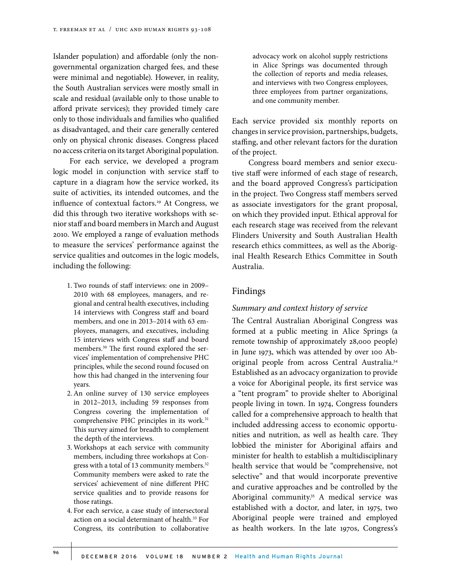Islander population) and affordable (only the nongovernmental organization charged fees, and these were minimal and negotiable). However, in reality, the South Australian services were mostly small in scale and residual (available only to those unable to afford private services); they provided timely care only to those individuals and families who qualified as disadvantaged, and their care generally centered only on physical chronic diseases. Congress placed no access criteria on its target Aboriginal population.

For each service, we developed a program logic model in conjunction with service staff to capture in a diagram how the service worked, its suite of activities, its intended outcomes, and the influence of contextual factors.<sup>29</sup> At Congress, we did this through two iterative workshops with senior staff and board members in March and August 2010. We employed a range of evaluation methods to measure the services' performance against the service qualities and outcomes in the logic models, including the following:

- 1. Two rounds of staff interviews: one in 2009– 2010 with 68 employees, managers, and regional and central health executives, including 14 interviews with Congress staff and board members, and one in 2013–2014 with 63 employees, managers, and executives, including 15 interviews with Congress staff and board members.30 The first round explored the services' implementation of comprehensive PHC principles, while the second round focused on how this had changed in the intervening four years.
- 2. An online survey of 130 service employees in 2012–2013, including 59 responses from Congress covering the implementation of comprehensive PHC principles in its work.<sup>31</sup> This survey aimed for breadth to complement the depth of the interviews.
- 3. Workshops at each service with community members, including three workshops at Congress with a total of 13 community members.<sup>32</sup> Community members were asked to rate the services' achievement of nine different PHC service qualities and to provide reasons for those ratings.
- 4. For each service, a case study of intersectoral action on a social determinant of health.<sup>33</sup> For Congress, its contribution to collaborative

advocacy work on alcohol supply restrictions in Alice Springs was documented through the collection of reports and media releases, and interviews with two Congress employees, three employees from partner organizations, and one community member.

Each service provided six monthly reports on changes in service provision, partnerships, budgets, staffing, and other relevant factors for the duration of the project.

Congress board members and senior executive staff were informed of each stage of research, and the board approved Congress's participation in the project. Two Congress staff members served as associate investigators for the grant proposal, on which they provided input. Ethical approval for each research stage was received from the relevant Flinders University and South Australian Health research ethics committees, as well as the Aboriginal Health Research Ethics Committee in South Australia.

#### Findings

#### *Summary and context history of service*

The Central Australian Aboriginal Congress was formed at a public meeting in Alice Springs (a remote township of approximately 28,000 people) in June 1973, which was attended by over 100 Aboriginal people from across Central Australia.34 Established as an advocacy organization to provide a voice for Aboriginal people, its first service was a "tent program" to provide shelter to Aboriginal people living in town. In 1974, Congress founders called for a comprehensive approach to health that included addressing access to economic opportunities and nutrition, as well as health care. They lobbied the minister for Aboriginal affairs and minister for health to establish a multidisciplinary health service that would be "comprehensive, not selective" and that would incorporate preventive and curative approaches and be controlled by the Aboriginal community.<sup>35</sup> A medical service was established with a doctor, and later, in 1975, two Aboriginal people were trained and employed as health workers. In the late 1970s, Congress's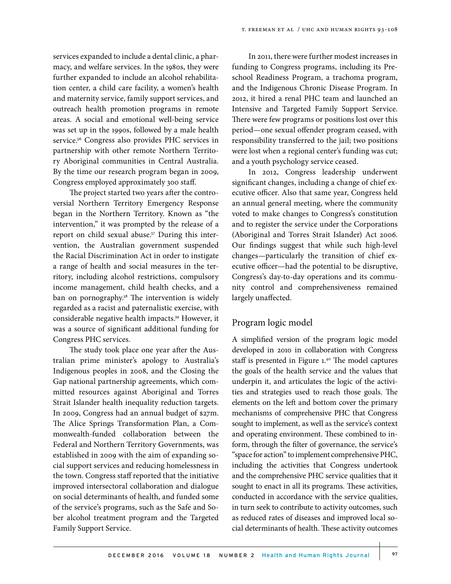services expanded to include a dental clinic, a pharmacy, and welfare services. In the 1980s, they were further expanded to include an alcohol rehabilitation center, a child care facility, a women's health and maternity service, family support services, and outreach health promotion programs in remote areas. A social and emotional well-being service was set up in the 1990s, followed by a male health service.<sup>36</sup> Congress also provides PHC services in partnership with other remote Northern Territory Aboriginal communities in Central Australia. By the time our research program began in 2009, Congress employed approximately 300 staff.

The project started two years after the controversial Northern Territory Emergency Response began in the Northern Territory. Known as "the intervention," it was prompted by the release of a report on child sexual abuse.<sup>37</sup> During this intervention, the Australian government suspended the Racial Discrimination Act in order to instigate a range of health and social measures in the territory, including alcohol restrictions, compulsory income management, child health checks, and a ban on pornography.<sup>38</sup> The intervention is widely regarded as a racist and paternalistic exercise, with considerable negative health impacts.39 However, it was a source of significant additional funding for Congress PHC services.

The study took place one year after the Australian prime minister's apology to Australia's Indigenous peoples in 2008, and the Closing the Gap national partnership agreements, which committed resources against Aboriginal and Torres Strait Islander health inequality reduction targets. In 2009, Congress had an annual budget of \$27m. The Alice Springs Transformation Plan, a Commonwealth-funded collaboration between the Federal and Northern Territory Governments, was established in 2009 with the aim of expanding social support services and reducing homelessness in the town. Congress staff reported that the initiative improved intersectoral collaboration and dialogue on social determinants of health, and funded some of the service's programs, such as the Safe and Sober alcohol treatment program and the Targeted Family Support Service.

In 2011, there were further modest increases in funding to Congress programs, including its Preschool Readiness Program, a trachoma program, and the Indigenous Chronic Disease Program. In 2012, it hired a renal PHC team and launched an Intensive and Targeted Family Support Service. There were few programs or positions lost over this period—one sexual offender program ceased, with responsibility transferred to the jail; two positions were lost when a regional center's funding was cut; and a youth psychology service ceased.

In 2012, Congress leadership underwent significant changes, including a change of chief executive officer. Also that same year, Congress held an annual general meeting, where the community voted to make changes to Congress's constitution and to register the service under the Corporations (Aboriginal and Torres Strait Islander) Act 2006. Our findings suggest that while such high-level changes—particularly the transition of chief executive officer—had the potential to be disruptive, Congress's day-to-day operations and its community control and comprehensiveness remained largely unaffected.

# Program logic model

A simplified version of the program logic model developed in 2010 in collaboration with Congress staff is presented in Figure 1.40 The model captures the goals of the health service and the values that underpin it, and articulates the logic of the activities and strategies used to reach those goals. The elements on the left and bottom cover the primary mechanisms of comprehensive PHC that Congress sought to implement, as well as the service's context and operating environment. These combined to inform, through the filter of governance, the service's "space for action" to implement comprehensive PHC, including the activities that Congress undertook and the comprehensive PHC service qualities that it sought to enact in all its programs. These activities, conducted in accordance with the service qualities, in turn seek to contribute to activity outcomes, such as reduced rates of diseases and improved local social determinants of health. These activity outcomes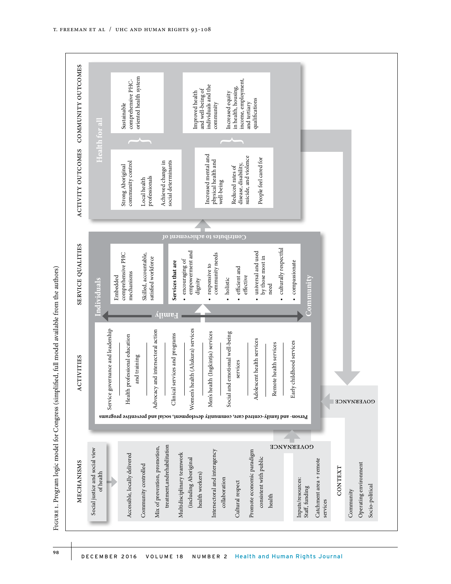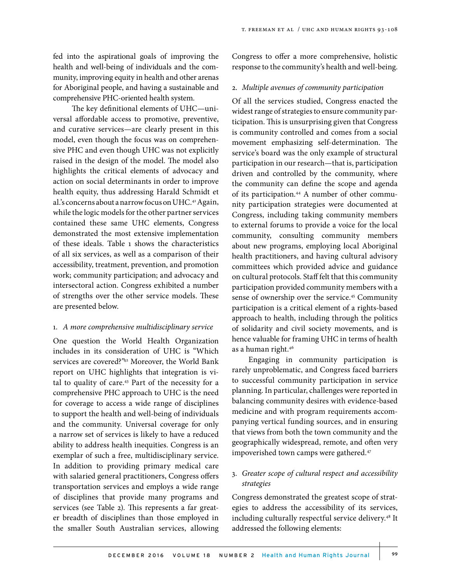fed into the aspirational goals of improving the health and well-being of individuals and the community, improving equity in health and other arenas for Aboriginal people, and having a sustainable and comprehensive PHC-oriented health system.

 The key definitional elements of UHC—universal affordable access to promotive, preventive, and curative services—are clearly present in this model, even though the focus was on comprehensive PHC and even though UHC was not explicitly raised in the design of the model. The model also highlights the critical elements of advocacy and action on social determinants in order to improve health equity, thus addressing Harald Schmidt et al.'s concerns about a narrow focus on UHC.<sup>41</sup> Again, while the logic models for the other partner services contained these same UHC elements, Congress demonstrated the most extensive implementation of these ideals. Table 1 shows the characteristics of all six services, as well as a comparison of their accessibility, treatment, prevention, and promotion work; community participation; and advocacy and intersectoral action. Congress exhibited a number of strengths over the other service models. These are presented below.

#### 1. *A more comprehensive multidisciplinary service*

One question the World Health Organization includes in its consideration of UHC is "Which services are covered?"42 Moreover, the World Bank report on UHC highlights that integration is vital to quality of care.<sup>43</sup> Part of the necessity for a comprehensive PHC approach to UHC is the need for coverage to access a wide range of disciplines to support the health and well-being of individuals and the community. Universal coverage for only a narrow set of services is likely to have a reduced ability to address health inequities. Congress is an exemplar of such a free, multidisciplinary service. In addition to providing primary medical care with salaried general practitioners, Congress offers transportation services and employs a wide range of disciplines that provide many programs and services (see Table 2). This represents a far greater breadth of disciplines than those employed in the smaller South Australian services, allowing Congress to offer a more comprehensive, holistic response to the community's health and well-being.

#### 2. *Multiple avenues of community participation*

Of all the services studied, Congress enacted the widest range of strategies to ensure community participation. This is unsurprising given that Congress is community controlled and comes from a social movement emphasizing self-determination. The service's board was the only example of structural participation in our research—that is, participation driven and controlled by the community, where the community can define the scope and agenda of its participation.<sup>44</sup> A number of other community participation strategies were documented at Congress, including taking community members to external forums to provide a voice for the local community, consulting community members about new programs, employing local Aboriginal health practitioners, and having cultural advisory committees which provided advice and guidance on cultural protocols. Staff felt that this community participation provided community members with a sense of ownership over the service.45 Community participation is a critical element of a rights-based approach to health, including through the politics of solidarity and civil society movements, and is hence valuable for framing UHC in terms of health as a human right.46

Engaging in community participation is rarely unproblematic, and Congress faced barriers to successful community participation in service planning. In particular, challenges were reported in balancing community desires with evidence-based medicine and with program requirements accompanying vertical funding sources, and in ensuring that views from both the town community and the geographically widespread, remote, and often very impoverished town camps were gathered.<sup>47</sup>

# 3. *Greater scope of cultural respect and accessibility strategies*

Congress demonstrated the greatest scope of strategies to address the accessibility of its services, including culturally respectful service delivery.<sup>48</sup> It addressed the following elements: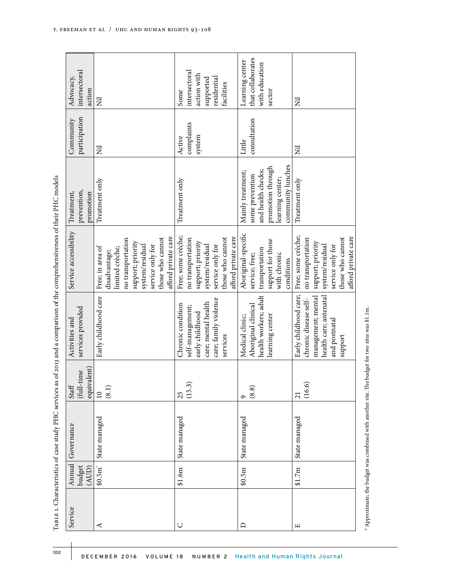| intersectoral<br>Advocacy,<br>action   | Ē                                                                                                                                                                                | intersectoral<br>action with<br>supported<br>residential<br>facilities<br>Some                                                                 | that collaborates<br>Learning center<br>with education<br>sector                                                         | E                                                                                                                          |
|----------------------------------------|----------------------------------------------------------------------------------------------------------------------------------------------------------------------------------|------------------------------------------------------------------------------------------------------------------------------------------------|--------------------------------------------------------------------------------------------------------------------------|----------------------------------------------------------------------------------------------------------------------------|
| participation<br>Community             | N                                                                                                                                                                                | complaints<br>system<br>Active                                                                                                                 | consultation<br>Little                                                                                                   | E                                                                                                                          |
| prevention,<br>Treatment,<br>promotion | Treatment only                                                                                                                                                                   | Treatment only                                                                                                                                 | community lunches<br>promotion through<br>and health checks;<br>Mainly treatment;<br>some prevention<br>learning center; | Treatment only                                                                                                             |
| Service accessibility                  | afford private care<br>those who cannot<br>no transportation<br>support; priority<br>system/residual<br>service only for<br>Free; in area of<br>limited crèche;<br>disadvantage; | Free; some crèche;<br>afford private care<br>those who cannot<br>no transportation<br>support; priority<br>system/residual<br>service only for | Aboriginal-specific<br>support for those<br>transportation<br>with chronic<br>service; free;<br>conditions               | Free; some crèche;<br>those who cannot<br>no transportation<br>support; priority<br>system/residual<br>service only for    |
| services provided<br>Activities and    | Early childhood care                                                                                                                                                             | care; family violence<br>care; mental health<br>Chronic condition<br>self-management;<br>early childhood<br>services                           | health workers; adult<br>Aboriginal clinical<br>learning center<br>Medical clinic;                                       | Early childhood care;<br>management; mental<br>health care; antenatal<br>chronic disease self-<br>and postnatal<br>support |
| equivalent)<br>time<br>(full-<br>Staff | (8.1)<br>$\overline{10}$                                                                                                                                                         | (15.3)<br>25                                                                                                                                   | (8.8)<br>െ                                                                                                               | (16.6)<br>21                                                                                                               |
| Governance                             | State managed                                                                                                                                                                    | State managed                                                                                                                                  | State managed                                                                                                            | State managed                                                                                                              |
| Annual<br>budget<br>(AUD)              | $$0.5m$ <sup>*</sup>                                                                                                                                                             | \$1.6m                                                                                                                                         | \$0.5m                                                                                                                   | \$1.7m                                                                                                                     |
| Service                                | ⋖                                                                                                                                                                                | U                                                                                                                                              |                                                                                                                          | щ                                                                                                                          |

Table 1. Characteristics of case study PHC services as of 2013 and a comparison of the comprehensiveness of their PHC models

 $^{\star}$  Approximate; the budget was combined with another site. The budget for two sites was \$1.1m. \* Approximate; the budget was combined with another site. The budget for two sites was \$1.1m.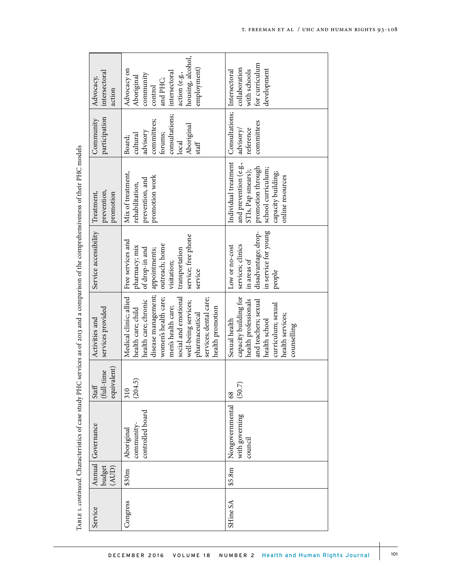|          |                 |                                              |                                      |                                                                                                                                                                                                                                                           |                                                                                                                                                            | анности по принимати по предлагается на предлагается на предлагается на предлагается на предлагается по принимательно по предлагается на полности по предлагается на предлагается на принимательно по предлагается на предлага |                                                                                                           |                                                                                                                                     |
|----------|-----------------|----------------------------------------------|--------------------------------------|-----------------------------------------------------------------------------------------------------------------------------------------------------------------------------------------------------------------------------------------------------------|------------------------------------------------------------------------------------------------------------------------------------------------------------|--------------------------------------------------------------------------------------------------------------------------------------------------------------------------------------------------------------------------------|-----------------------------------------------------------------------------------------------------------|-------------------------------------------------------------------------------------------------------------------------------------|
| Service  | budget<br>(AUD) | Annual Governance                            | equivalent)<br>$(full-time$<br>Staff | services provided<br>Activities and                                                                                                                                                                                                                       | Service accessibility                                                                                                                                      | prevention,<br>Treatment,<br>promotion                                                                                                                                                                                         | participation<br>Community                                                                                | intersectoral<br>Advocacy,<br>action                                                                                                |
| Congress | \$30m           | controlled board<br>community<br>Aboriginal  | 5<br>(204.<br>310                    | disease management;<br>Medical clinic; allied<br>women's health care;<br>social and emotional<br>services; dental care;<br>health care; chronic<br>well-being services;<br>men's health care;<br>health promotion<br>health care; child<br>pharmaceutical | service; free phone<br>Free services and<br>outreach; home<br>pharmacy; mix<br>of drop-in and<br>appointments;<br>transportation<br>visitation;<br>service | Mix of treatment,<br>promotion work<br>prevention, and<br>rehabilitation,                                                                                                                                                      | consultations;<br>committees;<br>Aboriginal<br>advisory<br>forums;<br>cultural<br>Board;<br>local<br>stat | housing, alcohol,<br>employment)<br>Advocacy on<br>intersectoral<br>action (e.g.,<br>community<br>Aboriginal<br>and PHC;<br>control |
| SHine SA | \$5.8m          | Nongovernmental<br>with governing<br>council | (50.7)<br>68                         | capacity building for<br>health professionals<br>and teachers; sexual<br>curriculum; sexual<br>health services;<br>Sexual health<br>health school<br>counselling                                                                                          | in service for young<br>disadvantage; drop-<br>services; clinics<br>Low or no-cost<br>in areas of<br>people                                                | Individual treatment<br>and prevention (e.g.,<br>promotion through<br>school curriculum;<br>STIs, Pap smears);<br>capacity building;<br>online resources                                                                       | Consultations; Intersectoral<br>committees<br>advisory/<br>reference                                      | for curriculum<br>collaboration<br>development<br>with schools                                                                      |

TABLE 1. continued. Characteristics of case study PHC services as of 2013 and a comparison of the comprehensiveness of their PHC models Table 1. *continued*. Characteristics of case study PHC services as of 2013 and a comparison of the comprehensiveness of their PHC models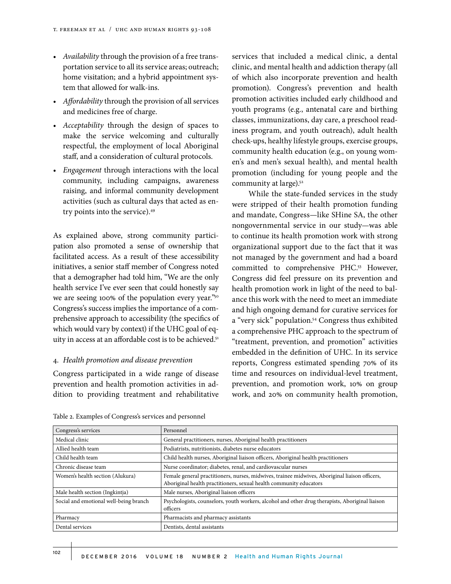- *• Availability* through the provision of a free transportation service to all its service areas; outreach; home visitation; and a hybrid appointment system that allowed for walk-ins.
- *• Affordability* through the provision of all services and medicines free of charge.
- *• Acceptability* through the design of spaces to make the service welcoming and culturally respectful, the employment of local Aboriginal staff, and a consideration of cultural protocols.
- *• Engagement* through interactions with the local community, including campaigns, awareness raising, and informal community development activities (such as cultural days that acted as entry points into the service).<sup>49</sup>

As explained above, strong community participation also promoted a sense of ownership that facilitated access. As a result of these accessibility initiatives, a senior staff member of Congress noted that a demographer had told him, "We are the only health service I've ever seen that could honestly say we are seeing 100% of the population every year."50 Congress's success implies the importance of a comprehensive approach to accessibility (the specifics of which would vary by context) if the UHC goal of equity in access at an affordable cost is to be achieved.<sup>51</sup>

#### 4. *Health promotion and disease prevention*

Congress participated in a wide range of disease prevention and health promotion activities in addition to providing treatment and rehabilitative services that included a medical clinic, a dental clinic, and mental health and addiction therapy (all of which also incorporate prevention and health promotion). Congress's prevention and health promotion activities included early childhood and youth programs (e.g., antenatal care and birthing classes, immunizations, day care, a preschool readiness program, and youth outreach), adult health check-ups, healthy lifestyle groups, exercise groups, community health education (e.g., on young women's and men's sexual health), and mental health promotion (including for young people and the community at large).<sup>52</sup>

While the state-funded services in the study were stripped of their health promotion funding and mandate, Congress—like SHine SA, the other nongovernmental service in our study—was able to continue its health promotion work with strong organizational support due to the fact that it was not managed by the government and had a board committed to comprehensive PHC.53 However, Congress did feel pressure on its prevention and health promotion work in light of the need to balance this work with the need to meet an immediate and high ongoing demand for curative services for a "very sick" population.54 Congress thus exhibited a comprehensive PHC approach to the spectrum of "treatment, prevention, and promotion" activities embedded in the definition of UHC. In its service reports, Congress estimated spending 70% of its time and resources on individual-level treatment, prevention, and promotion work, 10% on group work, and 20% on community health promotion,

| Congress's services                    | Personnel                                                                                                                                                            |
|----------------------------------------|----------------------------------------------------------------------------------------------------------------------------------------------------------------------|
| Medical clinic                         | General practitioners, nurses, Aboriginal health practitioners                                                                                                       |
| Allied health team                     | Podiatrists, nutritionists, diabetes nurse educators                                                                                                                 |
| Child health team                      | Child health nurses, Aboriginal liaison officers, Aboriginal health practitioners                                                                                    |
| Chronic disease team                   | Nurse coordinator; diabetes, renal, and cardiovascular nurses                                                                                                        |
| Women's health section (Alukura)       | Female general practitioners, nurses, midwives, trainee midwives, Aboriginal liaison officers,<br>Aboriginal health practitioners, sexual health community educators |
| Male health section (Ingkintja)        | Male nurses, Aboriginal liaison officers                                                                                                                             |
| Social and emotional well-being branch | Psychologists, counselors, youth workers, alcohol and other drug therapists, Aboriginal liaison<br>officers                                                          |
| Pharmacy                               | Pharmacists and pharmacy assistants                                                                                                                                  |
| Dental services                        | Dentists, dental assistants                                                                                                                                          |

Table 2. Examples of Congress's services and personnel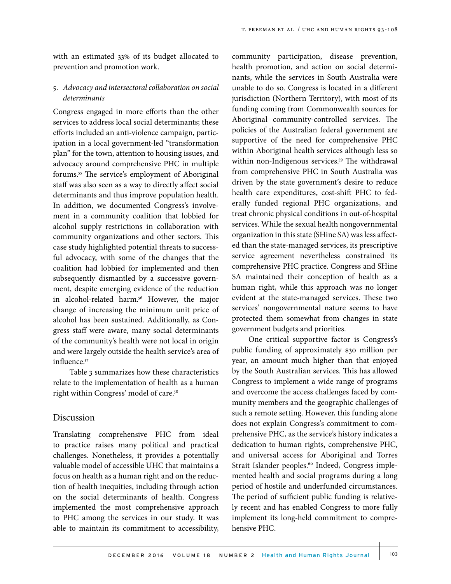with an estimated 33% of its budget allocated to prevention and promotion work.

# 5. *Advocacy and intersectoral collaboration on social determinants*

Congress engaged in more efforts than the other services to address local social determinants; these efforts included an anti-violence campaign, participation in a local government-led "transformation plan" for the town, attention to housing issues, and advocacy around comprehensive PHC in multiple forums.55 The service's employment of Aboriginal staff was also seen as a way to directly affect social determinants and thus improve population health. In addition, we documented Congress's involvement in a community coalition that lobbied for alcohol supply restrictions in collaboration with community organizations and other sectors. This case study highlighted potential threats to successful advocacy, with some of the changes that the coalition had lobbied for implemented and then subsequently dismantled by a successive government, despite emerging evidence of the reduction in alcohol-related harm.<sup>56</sup> However, the major change of increasing the minimum unit price of alcohol has been sustained. Additionally, as Congress staff were aware, many social determinants of the community's health were not local in origin and were largely outside the health service's area of influence.<sup>57</sup>

Table 3 summarizes how these characteristics relate to the implementation of health as a human right within Congress' model of care.58

## Discussion

Translating comprehensive PHC from ideal to practice raises many political and practical challenges. Nonetheless, it provides a potentially valuable model of accessible UHC that maintains a focus on health as a human right and on the reduction of health inequities, including through action on the social determinants of health. Congress implemented the most comprehensive approach to PHC among the services in our study. It was able to maintain its commitment to accessibility,

community participation, disease prevention, health promotion, and action on social determinants, while the services in South Australia were unable to do so. Congress is located in a different jurisdiction (Northern Territory), with most of its funding coming from Commonwealth sources for Aboriginal community-controlled services. The policies of the Australian federal government are supportive of the need for comprehensive PHC within Aboriginal health services although less so within non-Indigenous services.<sup>59</sup> The withdrawal from comprehensive PHC in South Australia was driven by the state government's desire to reduce health care expenditures, cost-shift PHC to federally funded regional PHC organizations, and treat chronic physical conditions in out-of-hospital services. While the sexual health nongovernmental organization in this state (SHine SA) was less affected than the state-managed services, its prescriptive service agreement nevertheless constrained its comprehensive PHC practice. Congress and SHine SA maintained their conception of health as a human right, while this approach was no longer evident at the state-managed services. These two services' nongovernmental nature seems to have protected them somewhat from changes in state government budgets and priorities.

One critical supportive factor is Congress's public funding of approximately \$30 million per year, an amount much higher than that enjoyed by the South Australian services. This has allowed Congress to implement a wide range of programs and overcome the access challenges faced by community members and the geographic challenges of such a remote setting. However, this funding alone does not explain Congress's commitment to comprehensive PHC, as the service's history indicates a dedication to human rights, comprehensive PHC, and universal access for Aboriginal and Torres Strait Islander peoples.<sup>60</sup> Indeed, Congress implemented health and social programs during a long period of hostile and underfunded circumstances. The period of sufficient public funding is relatively recent and has enabled Congress to more fully implement its long-held commitment to comprehensive PHC.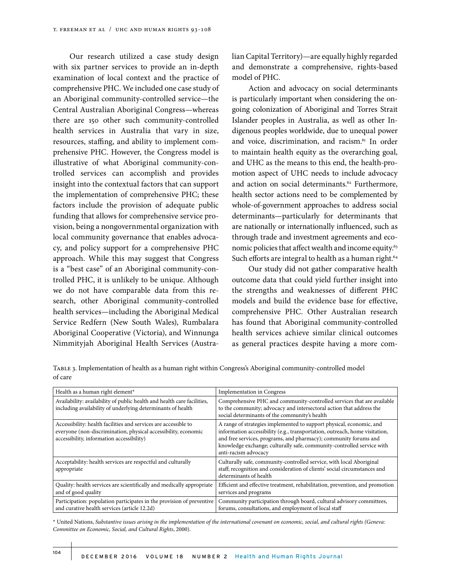Our research utilized a case study design with six partner services to provide an in-depth examination of local context and the practice of comprehensive PHC. We included one case study of an Aboriginal community-controlled service—the Central Australian Aboriginal Congress—whereas there are 150 other such community-controlled health services in Australia that vary in size, resources, staffing, and ability to implement comprehensive PHC. However, the Congress model is illustrative of what Aboriginal community-controlled services can accomplish and provides insight into the contextual factors that can support the implementation of comprehensive PHC; these factors include the provision of adequate public funding that allows for comprehensive service provision, being a nongovernmental organization with local community governance that enables advocacy, and policy support for a comprehensive PHC approach. While this may suggest that Congress is a "best case" of an Aboriginal community-controlled PHC, it is unlikely to be unique. Although we do not have comparable data from this research, other Aboriginal community-controlled health services—including the Aboriginal Medical Service Redfern (New South Wales), Rumbalara Aboriginal Cooperative (Victoria), and Winnunga Nimmityjah Aboriginal Health Services (Australian Capital Territory)—are equally highly regarded and demonstrate a comprehensive, rights-based model of PHC.

Action and advocacy on social determinants is particularly important when considering the ongoing colonization of Aboriginal and Torres Strait Islander peoples in Australia, as well as other Indigenous peoples worldwide, due to unequal power and voice, discrimination, and racism.<sup>61</sup> In order to maintain health equity as the overarching goal, and UHC as the means to this end, the health-promotion aspect of UHC needs to include advocacy and action on social determinants.<sup>62</sup> Furthermore, health sector actions need to be complemented by whole-of-government approaches to address social determinants—particularly for determinants that are nationally or internationally influenced, such as through trade and investment agreements and economic policies that affect wealth and income equity.<sup>63</sup> Such efforts are integral to health as a human right.<sup>64</sup>

Our study did not gather comparative health outcome data that could yield further insight into the strengths and weaknesses of different PHC models and build the evidence base for effective, comprehensive PHC. Other Australian research has found that Aboriginal community-controlled health services achieve similar clinical outcomes as general practices despite having a more com-

Table 3. Implementation of health as a human right within Congress's Aboriginal community-controlled model of care

| Health as a human right element*                                                                                                                                               | <b>Implementation in Congress</b>                                                                                                                                                                                                                                                                                         |
|--------------------------------------------------------------------------------------------------------------------------------------------------------------------------------|---------------------------------------------------------------------------------------------------------------------------------------------------------------------------------------------------------------------------------------------------------------------------------------------------------------------------|
| Availability: availability of public health and health care facilities,<br>including availability of underlying determinants of health                                         | Comprehensive PHC and community-controlled services that are available<br>to the community; advocacy and intersectoral action that address the<br>social determinants of the community's health                                                                                                                           |
| Accessibility: health facilities and services are accessible to<br>everyone (non-discrimination, physical accessibility, economic<br>accessibility, information accessibility) | A range of strategies implemented to support physical, economic, and<br>information accessibility (e.g., transportation, outreach, home visitation,<br>and free services, programs, and pharmacy); community forums and<br>knowledge exchange; culturally safe, community-controlled service with<br>anti-racism advocacy |
| Acceptability: health services are respectful and culturally<br>appropriate                                                                                                    | Culturally safe, community-controlled service, with local Aboriginal<br>staff; recognition and consideration of clients' social circumstances and<br>determinants of health                                                                                                                                               |
| Quality: health services are scientifically and medically appropriate<br>and of good quality                                                                                   | Efficient and effective treatment, rehabilitation, prevention, and promotion<br>services and programs                                                                                                                                                                                                                     |
| Participation: population participates in the provision of preventive<br>and curative health services (article 12.2d)                                                          | Community participation through board, cultural advisory committees,<br>forums, consultations, and employment of local staff                                                                                                                                                                                              |

\* United Nations, *Substantive issues arising in the implementation of the international covenant on economic, social, and cultural rights (Geneva: Committee on Economic, Social, and Cultural Rights*, 2000).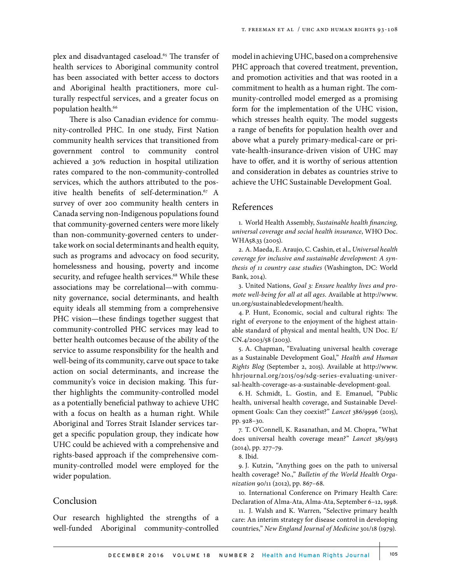plex and disadvantaged caseload.<sup>65</sup> The transfer of health services to Aboriginal community control has been associated with better access to doctors and Aboriginal health practitioners, more culturally respectful services, and a greater focus on population health.<sup>66</sup>

There is also Canadian evidence for community-controlled PHC. In one study, First Nation community health services that transitioned from government control to community control achieved a 30% reduction in hospital utilization rates compared to the non-community-controlled services, which the authors attributed to the positive health benefits of self-determination.<sup>67</sup> A survey of over 200 community health centers in Canada serving non-Indigenous populations found that community-governed centers were more likely than non-community-governed centers to undertake work on social determinants and health equity, such as programs and advocacy on food security, homelessness and housing, poverty and income security, and refugee health services.<sup>68</sup> While these associations may be correlational—with community governance, social determinants, and health equity ideals all stemming from a comprehensive PHC vision—these findings together suggest that community-controlled PHC services may lead to better health outcomes because of the ability of the service to assume responsibility for the health and well-being of its community, carve out space to take action on social determinants, and increase the community's voice in decision making. This further highlights the community-controlled model as a potentially beneficial pathway to achieve UHC with a focus on health as a human right. While Aboriginal and Torres Strait Islander services target a specific population group, they indicate how UHC could be achieved with a comprehensive and rights-based approach if the comprehensive community-controlled model were employed for the wider population.

# Conclusion

Our research highlighted the strengths of a well-funded Aboriginal community-controlled model in achieving UHC, based on a comprehensive PHC approach that covered treatment, prevention, and promotion activities and that was rooted in a commitment to health as a human right. The community-controlled model emerged as a promising form for the implementation of the UHC vision, which stresses health equity. The model suggests a range of benefits for population health over and above what a purely primary-medical-care or private-health-insurance-driven vision of UHC may have to offer, and it is worthy of serious attention and consideration in debates as countries strive to achieve the UHC Sustainable Development Goal.

# References

1. World Health Assembly, *Sustainable health financing, universal coverage and social health insurance*, WHO Doc. WHA58.33 (2005).

2. A. Maeda, E. Araujo, C. Cashin, et al., *Universal health coverage for inclusive and sustainable development: A synthesis of 11 country case studies* (Washington, DC: World Bank, 2014).

3. United Nations, *Goal 3: Ensure healthy lives and promote well-being for all at all ages*. Available at http://www. un.org/sustainabledevelopment/health.

4. P. Hunt, Economic, social and cultural rights: The right of everyone to the enjoyment of the highest attainable standard of physical and mental health, UN Doc. E/ CN.4/2003/58 (2003).

5. A. Chapman, "Evaluating universal health coverage as a Sustainable Development Goal," *Health and Human Rights Blog* (September 2, 2015). Available at http://www. hhrjournal.org/2015/09/sdg-series-evaluating-universal-health-coverage-as-a-sustainable-development-goal.

6. H. Schmidt, L. Gostin, and E. Emanuel, "Public health, universal health coverage, and Sustainable Development Goals: Can they coexist?" *Lancet* 386/9996 (2015), pp. 928–30.

7. T. O'Connell, K. Rasanathan, and M. Chopra, "What does universal health coverage mean?" *Lancet* 383/9913 (2014), pp. 277–79.

8. Ibid.

9. J. Kutzin, "Anything goes on the path to universal health coverage? No.," *Bulletin of the World Health Organization* 90/11 (2012), pp. 867–68.

10. International Conference on Primary Health Care: Declaration of Alma-Ata, Alma-Ata, September 6–12, 1998.

11. J. Walsh and K. Warren, "Selective primary health care: An interim strategy for disease control in developing countries," *New England Journal of Medicine* 301/18 (1979).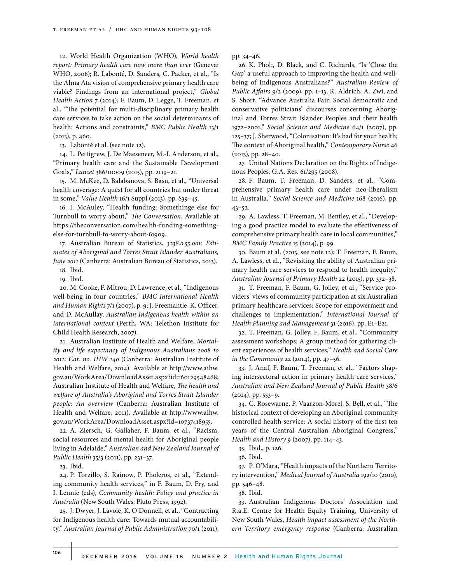12. World Health Organization (WHO), *World health report: Primary health care now more than ever* (Geneva: WHO, 2008); R. Labonté, D. Sanders, C. Packer, et al., "Is the Alma Ata vision of comprehensive primary health care viable? Findings from an international project," *Global Health Action* 7 (2014); F. Baum, D. Legge, T. Freeman, et al., "The potential for multi-disciplinary primary health care services to take action on the social determinants of health: Actions and constraints," *BMC Public Health* 13/1 (2013), p. 460.

13. Labonté et al. (see note 12).

14. L. Pettigrew, J. De Maeseneer, M.-I. Anderson, et al., "Primary health care and the Sustainable Development Goals," *Lancet* 386/10009 (2015), pp. 2119–21.

15. M. McKee, D. Balabanova, S. Basu, et al., "Universal health coverage: A quest for all countries but under threat in some," *Value Health* 16/1 Suppl (2013), pp. S39–45.

16. I. McAuley, "Health funding: Somethinge else for Turnbull to worry about," *The Conversation*. Available at https://theconversation.com/health-funding-somethingelse-for-turnbull-to-worry-about-61909.

17. Australian Bureau of Statistics, *3238.0.55.001: Estimates of Aboriginal and Torres Strait Islander Australians, June 2011* (Canberra: Australian Bureau of Statistics, 2013).

18. Ibid.

19. Ibid.

20. M. Cooke, F. Mitrou, D. Lawrence, et al., "Indigenous well-being in four countries," *BMC International Health and Human Rights* 7/1 (2007), p. 9; J. Freemantle, K. Officer, and D. McAullay, *Australian Indigenous health within an international context* (Perth, WA: Telethon Institute for Child Health Research, 2007).

21. Australian Institute of Health and Welfare, *Mortality and life expectancy of Indigenous Australians 2008 to 2012: Cat. no. IHW 140* (Canberra: Australian Institute of Health and Welfare, 2014). Available at http://www.aihw. gov.au/WorkArea/DownloadAsset.aspx?id=60129548468; Australian Institute of Health and Welfare, *The health and welfare of Australia's Aboriginal and Torres Strait Islander people: An overview* (Canberra: Australian Institute of Health and Welfare, 2011). Available at http://www.aihw. gov.au/WorkArea/DownloadAsset.aspx?id=10737418955.

22. A. Ziersch, G. Gallaher, F. Baum, et al., "Racism, social resources and mental health for Aboriginal people living in Adelaide," *Australian and New Zealand Journal of Public Health* 35/3 (2011), pp. 231–37.

23. Ibid.

24. P. Torzillo, S. Rainow, P. Pholeros, et al., "Extending community health services," in F. Baum, D. Fry, and I. Lennie (eds), *Community health: Policy and practice in Australia* (New South Wales: Pluto Press, 1992).

25. J. Dwyer, J. Lavoie, K. O'Donnell, et al., "Contracting for Indigenous health care: Towards mutual accountability," *Australian Journal of Public Administration* 70/1 (2011), pp. 34–46.

26. K. Pholi, D. Black, and C. Richards, "Is 'Close the Gap' a useful approach to improving the health and wellbeing of Indigenous Australians?" *Australian Review of Public Affairs* 9/2 (2009), pp. 1–13; R. Aldrich, A. Zwi, and S. Short, "Advance Australia Fair: Social democratic and conservative politicians' discourses concerning Aboriginal and Torres Strait Islander Peoples and their health 1972–2001," *Social Science and Medicine* 64/1 (2007), pp. 125–37; J. Sherwood, "Colonisation: It's bad for your health; The context of Aboriginal health," *Contemporary Nurse* 46 (2013), pp. 28–40.

27. United Nations Declaration on the Rights of Indigenous Peoples, G.A. Res. 61/295 (2008).

28. F. Baum, T. Freeman, D. Sanders, et al., "Comprehensive primary health care under neo-liberalism in Australia," *Social Science and Medicine* 168 (2016), pp. 43–52.

29. A. Lawless, T. Freeman, M. Bentley, et al., "Developing a good practice model to evaluate the effectiveness of comprehensive primary health care in local communities," *BMC Family Practice* 15 (2014), p. 99.

30. Baum et al. (2013, see note 12); T. Freeman, F. Baum, A. Lawless, et al., "Revisiting the ability of Australian primary health care services to respond to health inequity," *Australian Journal of Primary Health* 22 (2015), pp. 332–38.

31. T. Freeman, F. Baum, G. Jolley, et al., "Service providers' views of community participation at six Australian primary healthcare services: Scope for empowerment and challenges to implementation," *International Journal of Health Planning and Management* 31 (2016), pp. E1–E21.

32. T. Freeman, G. Jolley, F. Baum, et al., "Community assessment workshops: A group method for gathering client experiences of health services," *Health and Social Care in the Community* 22 (2014), pp. 47–56.

33. J. Anaf, F. Baum, T. Freeman, et al., "Factors shaping intersectoral action in primary health care services," *Australian and New Zealand Journal of Public Health* 38/6  $(2014)$ , pp. 553–9.

34. C. Rosewarne, P. Vaarzon-Morel, S. Bell, et al., "The historical context of developing an Aboriginal community controlled health service: A social history of the first ten years of the Central Australian Aboriginal Congress," *Health and History* 9 (2007), pp. 114–43.

35. Ibid., p. 126.

36. Ibid.

37. P. O'Mara, "Health impacts of the Northern Territory intervention," *Medical Journal of Australia* 192/10 (2010), pp. 546–48.

38. Ibid.

39. Australian Indigenous Doctors' Association and R.a.E. Centre for Health Equity Training, University of New South Wales, *Health impact assessment of the Northern Territory emergency response* (Canberra: Australian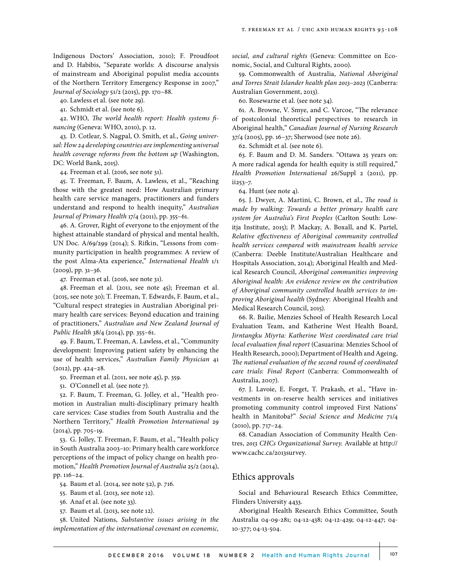Indigenous Doctors' Association, 2010); F. Proudfoot and D. Habibis, "Separate worlds: A discourse analysis of mainstream and Aboriginal populist media accounts of the Northern Territory Emergency Response in 2007," *Journal of Sociology* 51/2 (2015), pp. 170–88.

40. Lawless et al. (see note 29).

41. Schmidt et al. (see note 6).

42. WHO, *The world health report: Health systems financing* (Geneva: WHO, 2010), p. 12.

43. D. Cotlear, S. Nagpal, O. Smith, et al., *Going universal: How 24 developing countries are implementing universal health coverage reforms from the bottom up* (Washington, DC: World Bank, 2015).

44. Freeman et al. (2016, see note 31).

45. T. Freeman, F. Baum, A. Lawless, et al., "Reaching those with the greatest need: How Australian primary health care service managers, practitioners and funders understand and respond to health inequity," *Australian Journal of Primary Health* 17/4 (2011), pp. 355–61.

46. A. Grover, Right of everyone to the enjoyment of the highest attainable standard of physical and mental health, UN Doc. A/69/299 (2014); S. Rifkin, "Lessons from community participation in health programmes: A review of the post Alma-Ata experience," *International Health* 1/1 (2009), pp. 31–36.

47. Freeman et al. (2016, see note 31).

48. Freeman et al. (2011, see note 45); Freeman et al. (2015, see note 30); T. Freeman, T. Edwards, F. Baum, et al., "Cultural respect strategies in Australian Aboriginal primary health care services: Beyond education and training of practitioners," *Australian and New Zealand Journal of Public Health* 38/4 (2014), pp. 355–61.

49. F. Baum, T. Freeman, A. Lawless, et al., "Community development: Improving patient safety by enhancing the use of health services," *Australian Family Physician* 41 (2012), pp. 424–28.

50. Freeman et al. (2011, see note 45), p. 359.

51. O'Connell et al. (see note 7).

52. F. Baum, T. Freeman, G. Jolley, et al., "Health promotion in Australian multi-disciplinary primary health care services: Case studies from South Australia and the Northern Territory," *Health Promotion International* 29 (2014), pp. 705–19.

53. G. Jolley, T. Freeman, F. Baum, et al., "Health policy in South Australia 2003–10: Primary health care workforce perceptions of the impact of policy change on health promotion," *Health Promotion Journal of Australia* 25/2 (2014), pp. 116–24.

54. Baum et al. (2014, see note 52), p. 716.

55. Baum et al. (2013, see note 12).

56. Anaf et al. (see note 33).

57. Baum et al. (2013, see note 12).

58. United Nations, *Substantive issues arising in the implementation of the international covenant on economic,*  *social, and cultural rights* (Geneva: Committee on Economic, Social, and Cultural Rights, 2000).

59. Commonwealth of Australia, *National Aboriginal and Torres Strait Islander health plan 2013–2023* (Canberra: Australian Government, 2013).

60. Rosewarne et al. (see note 34).

61. A. Browne, V. Smye, and C. Varcoe, "The relevance of postcolonial theoretical perspectives to research in Aboriginal health," *Canadian Journal of Nursing Research*  37/4 (2005), pp. 16–37; Sherwood (see note 26).

62. Schmidt et al. (see note 6).

63. F. Baum and D. M. Sanders. "Ottawa 25 years on: A more radical agenda for health equity is still required," *Health Promotion International* 26/Suppl 2 (2011), pp. ii253–7.

64. Hunt (see note 4).

65. J. Dwyer, A. Martini, C. Brown, et al., *The road is made by walking: Towards a better primary health care system for Australia's First Peoples* (Carlton South: Lowitja Institute, 2015); P. Mackay, A. Boxall, and K. Partel, *Relative effectiveness of Aboriginal community controlled health services compared with mainstream health service* (Canberra: Deeble Institute/Australian Healthcare and Hospitals Association, 2014); Aboriginal Health and Medical Research Council, *Aboriginal communities improving Aboriginal health: An evidence review on the contribution of Aboriginal community controlled health services to improving Aboriginal health* (Sydney: Aboriginal Health and Medical Research Council, 2015).

66. R. Bailie, Menzies School of Health Research Local Evaluation Team, and Katherine West Health Board, *Jirntangku Miyrta: Katherine West coordinated care trial local evaluation final report* (Casuarina: Menzies School of Health Research, 2000); Department of Health and Ageing, *The national evaluation of the second round of coordinated care trials: Final Report* (Canberra: Commonwealth of Australia, 2007).

67. J. Lavoie, E. Forget, T. Prakash, et al., "Have investments in on-reserve health services and initiatives promoting community control improved First Nations' health in Manitoba?" *Social Science and Medicine* 71/4 (2010), pp. 717–24.

68. Canadian Association of Community Health Centres, *2013 CHCs Organizational Survey*. Available at http:// www.cachc.ca/2013survey.

#### Ethics approvals

Social and Behavioural Research Ethics Committee, Flinders University 4433.

Aboriginal Health Research Ethics Committee, South Australia 04-09-281; 04-12-438; 04-12-429; 04-12-447; 04- 10-377; 04-13-504.